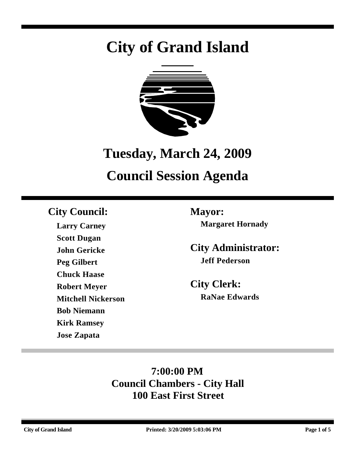# **City of Grand Island**



# **Tuesday, March 24, 2009**

# **Council Session Agenda**

### **City Council: Mayor:**

**Larry Carney Scott Dugan John Gericke Peg Gilbert Chuck Haase Robert Meyer Mitchell Nickerson Bob Niemann Kirk Ramsey Jose Zapata**

**Margaret Hornady**

**City Administrator: Jeff Pederson**

**City Clerk: RaNae Edwards**

## **7:00:00 PM Council Chambers - City Hall 100 East First Street**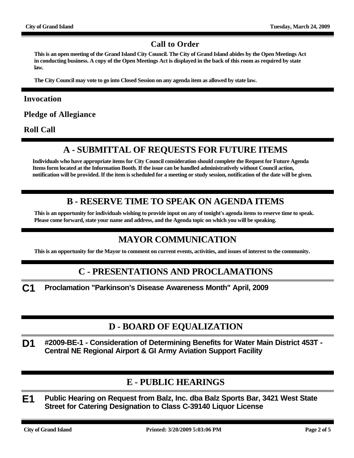#### **Call to Order**

**This is an open meeting of the Grand Island City Council. The City of Grand Island abides by the Open Meetings Act in conducting business. A copy of the Open Meetings Act is displayed in the back of this room as required by state law.**

**The City Council may vote to go into Closed Session on any agenda item as allowed by state law.**

#### **Invocation**

**Pledge of Allegiance**

**Roll Call**

#### **A - SUBMITTAL OF REQUESTS FOR FUTURE ITEMS**

**Individuals who have appropriate items for City Council consideration should complete the Request for Future Agenda Items form located at the Information Booth. If the issue can be handled administratively without Council action, notification will be provided. If the item is scheduled for a meeting or study session, notification of the date will be given.**

#### **B - RESERVE TIME TO SPEAK ON AGENDA ITEMS**

**This is an opportunity for individuals wishing to provide input on any of tonight's agenda items to reserve time to speak. Please come forward, state your name and address, and the Agenda topic on which you will be speaking.**

#### **MAYOR COMMUNICATION**

**This is an opportunity for the Mayor to comment on current events, activities, and issues of interest to the community.**

#### **C - PRESENTATIONS AND PROCLAMATIONS**

**C1 Proclamation "Parkinson's Disease Awareness Month" April, 2009**

#### **D - BOARD OF EQUALIZATION**

**D1 #2009-BE-1 - Consideration of Determining Benefits for Water Main District 453T - Central NE Regional Airport & GI Army Aviation Support Facility**

#### **E - PUBLIC HEARINGS**

**E1 Public Hearing on Request from Balz, Inc. dba Balz Sports Bar, 3421 West State Street for Catering Designation to Class C-39140 Liquor License**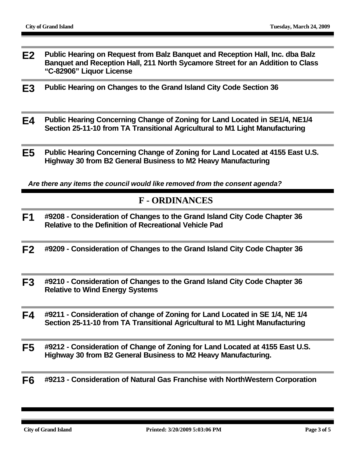- **E2 Public Hearing on Request from Balz Banquet and Reception Hall, Inc. dba Balz Banquet and Reception Hall, 211 North Sycamore Street for an Addition to Class "C-82906" Liquor License**
- **E3 Public Hearing on Changes to the Grand Island City Code Section 36**
- **E4 Public Hearing Concerning Change of Zoning for Land Located in SE1/4, NE1/4 Section 25-11-10 from TA Transitional Agricultural to M1 Light Manufacturing**
- **E5 Public Hearing Concerning Change of Zoning for Land Located at 4155 East U.S. Highway 30 from B2 General Business to M2 Heavy Manufacturing**

*Are there any items the council would like removed from the consent agenda?*

#### **F - ORDINANCES**

- **F1 #9208 Consideration of Changes to the Grand Island City Code Chapter 36 Relative to the Definition of Recreational Vehicle Pad**
- **F2 #9209 Consideration of Changes to the Grand Island City Code Chapter 36**
- **F3 #9210 Consideration of Changes to the Grand Island City Code Chapter 36 Relative to Wind Energy Systems**
- **F4 #9211 Consideration of change of Zoning for Land Located in SE 1/4, NE 1/4 Section 25-11-10 from TA Transitional Agricultural to M1 Light Manufacturing**
- **F5 #9212 Consideration of Change of Zoning for Land Located at 4155 East U.S. Highway 30 from B2 General Business to M2 Heavy Manufacturing.**
- **F6 #9213 Consideration of Natural Gas Franchise with NorthWestern Corporation**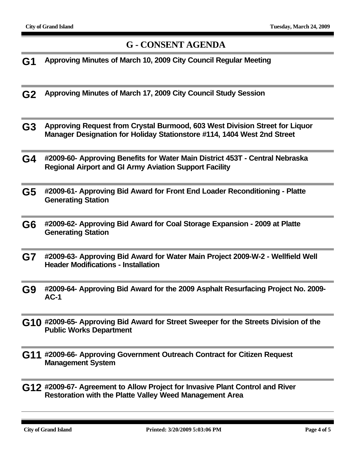#### **G - CONSENT AGENDA**

- **G1 Approving Minutes of March 10, 2009 City Council Regular Meeting**
- **G2 Approving Minutes of March 17, 2009 City Council Study Session**
- **G3 Approving Request from Crystal Burmood, 603 West Division Street for Liquor Manager Designation for Holiday Stationstore #114, 1404 West 2nd Street**
- **G4 #2009-60- Approving Benefits for Water Main District 453T Central Nebraska Regional Airport and GI Army Aviation Support Facility**
- **G5 #2009-61- Approving Bid Award for Front End Loader Reconditioning Platte Generating Station**
- **G6 #2009-62- Approving Bid Award for Coal Storage Expansion 2009 at Platte Generating Station**
- **G7 #2009-63- Approving Bid Award for Water Main Project 2009-W-2 Wellfield Well Header Modifications - Installation**
- **G9 #2009-64- Approving Bid Award for the 2009 Asphalt Resurfacing Project No. 2009- AC-1**
- **G10 #2009-65- Approving Bid Award for Street Sweeper for the Streets Division of the Public Works Department**
- **G11 #2009-66- Approving Government Outreach Contract for Citizen Request Management System**
- **G12 #2009-67- Agreement to Allow Project for Invasive Plant Control and River Restoration with the Platte Valley Weed Management Area**